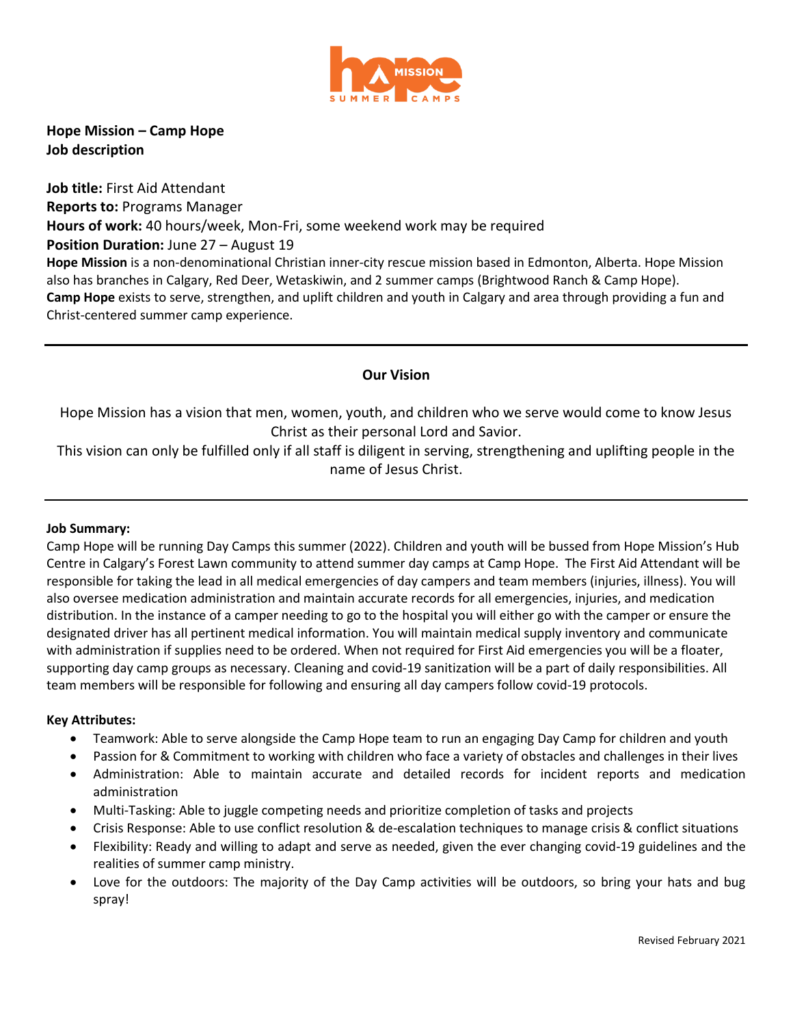

**Hope Mission – Camp Hope Job description**

**Job title:** First Aid Attendant **Reports to:** Programs Manager **Hours of work:** 40 hours/week, Mon-Fri, some weekend work may be required **Position Duration: June 27 – August 19 Hope Mission** is a non-denominational Christian inner-city rescue mission based in Edmonton, Alberta. Hope Mission also has branches in Calgary, Red Deer, Wetaskiwin, and 2 summer camps (Brightwood Ranch & Camp Hope). **Camp Hope** exists to serve, strengthen, and uplift children and youth in Calgary and area through providing a fun and Christ-centered summer camp experience.

# **Our Vision**

Hope Mission has a vision that men, women, youth, and children who we serve would come to know Jesus Christ as their personal Lord and Savior.

This vision can only be fulfilled only if all staff is diligent in serving, strengthening and uplifting people in the name of Jesus Christ.

### **Job Summary:**

Camp Hope will be running Day Camps this summer (2022). Children and youth will be bussed from Hope Mission's Hub Centre in Calgary's Forest Lawn community to attend summer day camps at Camp Hope. The First Aid Attendant will be responsible for taking the lead in all medical emergencies of day campers and team members (injuries, illness). You will also oversee medication administration and maintain accurate records for all emergencies, injuries, and medication distribution. In the instance of a camper needing to go to the hospital you will either go with the camper or ensure the designated driver has all pertinent medical information. You will maintain medical supply inventory and communicate with administration if supplies need to be ordered. When not required for First Aid emergencies you will be a floater, supporting day camp groups as necessary. Cleaning and covid-19 sanitization will be a part of daily responsibilities. All team members will be responsible for following and ensuring all day campers follow covid-19 protocols.

### **Key Attributes:**

- Teamwork: Able to serve alongside the Camp Hope team to run an engaging Day Camp for children and youth
- Passion for & Commitment to working with children who face a variety of obstacles and challenges in their lives
- Administration: Able to maintain accurate and detailed records for incident reports and medication administration
- Multi-Tasking: Able to juggle competing needs and prioritize completion of tasks and projects
- Crisis Response: Able to use conflict resolution & de-escalation techniques to manage crisis & conflict situations
- Flexibility: Ready and willing to adapt and serve as needed, given the ever changing covid-19 guidelines and the realities of summer camp ministry.
- Love for the outdoors: The majority of the Day Camp activities will be outdoors, so bring your hats and bug spray!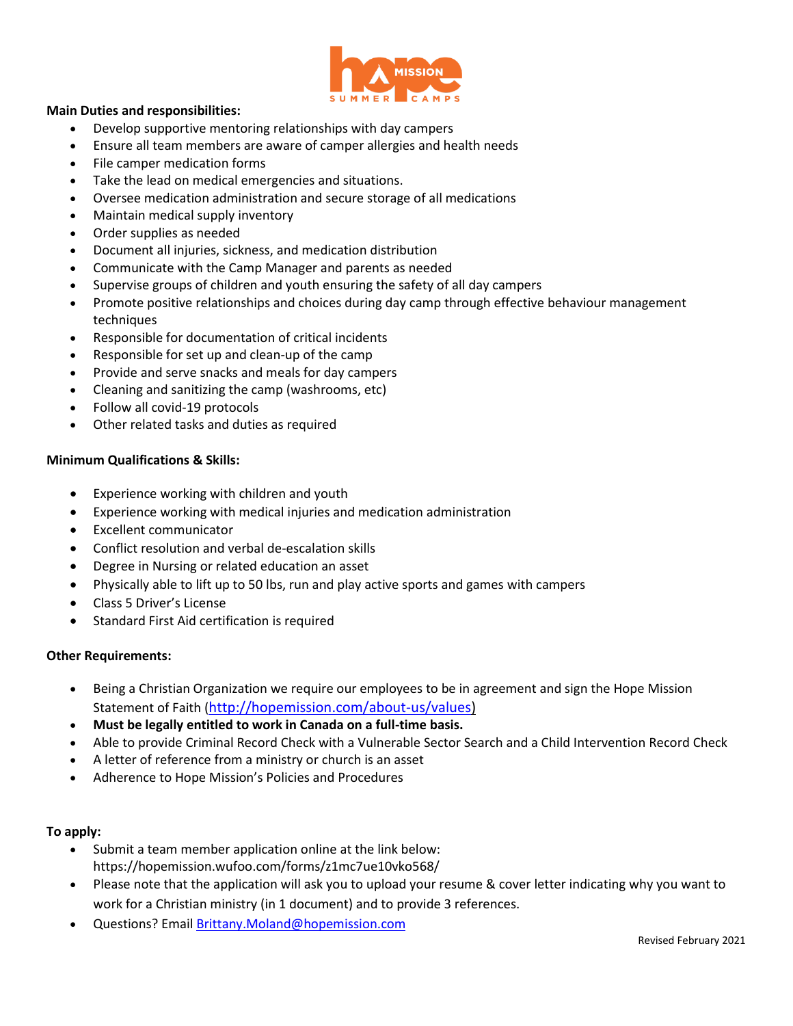

### **Main Duties and responsibilities:**

- Develop supportive mentoring relationships with day campers
- Ensure all team members are aware of camper allergies and health needs
- File camper medication forms
- Take the lead on medical emergencies and situations.
- Oversee medication administration and secure storage of all medications
- Maintain medical supply inventory
- Order supplies as needed
- Document all injuries, sickness, and medication distribution
- Communicate with the Camp Manager and parents as needed
- Supervise groups of children and youth ensuring the safety of all day campers
- Promote positive relationships and choices during day camp through effective behaviour management techniques
- Responsible for documentation of critical incidents
- Responsible for set up and clean-up of the camp
- Provide and serve snacks and meals for day campers
- Cleaning and sanitizing the camp (washrooms, etc)
- Follow all covid-19 protocols
- Other related tasks and duties as required

### **Minimum Qualifications & Skills:**

- Experience working with children and youth
- Experience working with medical injuries and medication administration
- Excellent communicator
- Conflict resolution and verbal de-escalation skills
- Degree in Nursing or related education an asset
- Physically able to lift up to 50 lbs, run and play active sports and games with campers
- Class 5 Driver's License
- Standard First Aid certification is required

## **Other Requirements:**

- Being a Christian Organization we require our employees to be in agreement and sign the Hope Mission Statement of Faith ([http://hopemission.com/about-us/values\)](http://hopemission.com/about-us/values)
- **Must be legally entitled to work in Canada on a full-time basis.**
- Able to provide Criminal Record Check with a Vulnerable Sector Search and a Child Intervention Record Check
- A letter of reference from a ministry or church is an asset
- Adherence to Hope Mission's Policies and Procedures

### **To apply:**

- Submit a team member application online at the link below: https://hopemission.wufoo.com/forms/z1mc7ue10vko568/
- Please note that the application will ask you to upload your resume & cover letter indicating why you want to work for a Christian ministry (in 1 document) and to provide 3 references.
- Questions? Emai[l Brittany.Moland@hopemission.com](mailto:Brittany.Moland@hopemission.com)